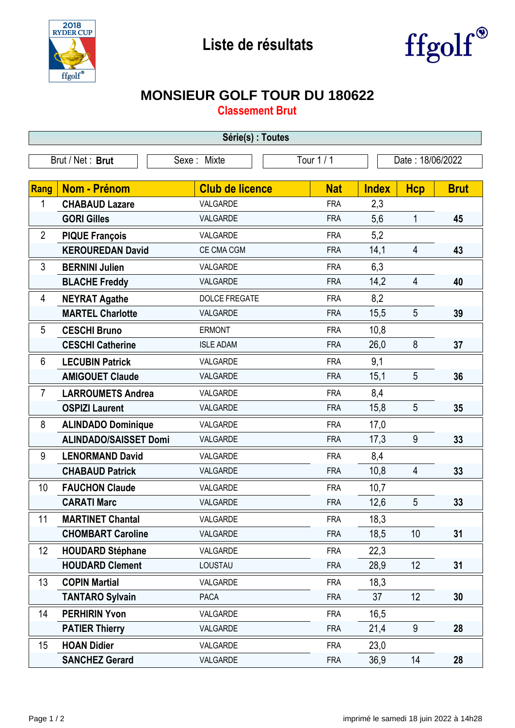



## **MONSIEUR GOLF TOUR DU 180622**

**Classement Brut**

| Série(s) : Toutes |                              |                           |            |                  |                 |             |  |  |  |
|-------------------|------------------------------|---------------------------|------------|------------------|-----------------|-------------|--|--|--|
| Brut / Net: Brut  |                              | Tour 1 / 1<br>Sexe: Mixte |            | Date: 18/06/2022 |                 |             |  |  |  |
|                   |                              |                           |            |                  |                 |             |  |  |  |
| Rang              | <b>Nom - Prénom</b>          | <b>Club de licence</b>    | <b>Nat</b> | <b>Index</b>     | <b>Hcp</b>      | <b>Brut</b> |  |  |  |
| 1                 | <b>CHABAUD Lazare</b>        | VALGARDE                  | <b>FRA</b> | 2,3              |                 |             |  |  |  |
|                   | <b>GORI Gilles</b>           | VALGARDE                  | <b>FRA</b> | 5,6              | 1               | 45          |  |  |  |
| $\overline{2}$    | <b>PIQUE François</b>        | VALGARDE                  | <b>FRA</b> | 5,2              |                 |             |  |  |  |
|                   | <b>KEROUREDAN David</b>      | CE CMA CGM                | <b>FRA</b> | 14,1             | $\overline{4}$  | 43          |  |  |  |
| 3                 | <b>BERNINI Julien</b>        | VALGARDE                  | <b>FRA</b> | 6,3              |                 |             |  |  |  |
|                   | <b>BLACHE Freddy</b>         | VALGARDE                  | <b>FRA</b> | 14,2             | $\overline{4}$  | 40          |  |  |  |
| 4                 | <b>NEYRAT Agathe</b>         | <b>DOLCE FREGATE</b>      | <b>FRA</b> | 8,2              |                 |             |  |  |  |
|                   | <b>MARTEL Charlotte</b>      | VALGARDE                  | <b>FRA</b> | 15,5             | 5               | 39          |  |  |  |
| 5                 | <b>CESCHI Bruno</b>          | <b>ERMONT</b>             | <b>FRA</b> | 10,8             |                 |             |  |  |  |
|                   | <b>CESCHI Catherine</b>      | <b>ISLE ADAM</b>          | <b>FRA</b> | 26,0             | 8               | 37          |  |  |  |
| 6                 | <b>LECUBIN Patrick</b>       | VALGARDE                  | <b>FRA</b> | 9,1              |                 |             |  |  |  |
|                   | <b>AMIGOUET Claude</b>       | VALGARDE                  | <b>FRA</b> | 15,1             | 5               | 36          |  |  |  |
| $\overline{7}$    | <b>LARROUMETS Andrea</b>     | VALGARDE                  | <b>FRA</b> | 8,4              |                 |             |  |  |  |
|                   | <b>OSPIZI Laurent</b>        | VALGARDE                  | <b>FRA</b> | 15,8             | 5               | 35          |  |  |  |
| 8                 | <b>ALINDADO Dominique</b>    | VALGARDE                  | <b>FRA</b> | 17,0             |                 |             |  |  |  |
|                   | <b>ALINDADO/SAISSET Domi</b> | VALGARDE                  | <b>FRA</b> | 17,3             | 9               | 33          |  |  |  |
| 9                 | <b>LENORMAND David</b>       | VALGARDE                  | <b>FRA</b> | 8,4              |                 |             |  |  |  |
|                   | <b>CHABAUD Patrick</b>       | VALGARDE                  | <b>FRA</b> | 10,8             | 4               | 33          |  |  |  |
| 10                | <b>FAUCHON Claude</b>        | VALGARDE                  | <b>FRA</b> | 10,7             |                 |             |  |  |  |
|                   | <b>CARATI Marc</b>           | VALGARDE                  | <b>FRA</b> | 12,6             | 5               | 33          |  |  |  |
| 11                | <b>MARTINET Chantal</b>      | VALGARDE                  | <b>FRA</b> | 18,3             |                 |             |  |  |  |
|                   | <b>CHOMBART Caroline</b>     | VALGARDE                  | <b>FRA</b> | 18,5             | 10              | 31          |  |  |  |
| 12                | <b>HOUDARD Stéphane</b>      | VALGARDE                  | <b>FRA</b> | 22,3             |                 |             |  |  |  |
|                   | <b>HOUDARD Clement</b>       | LOUSTAU                   | <b>FRA</b> | 28,9             | 12              | 31          |  |  |  |
| 13                | <b>COPIN Martial</b>         | VALGARDE                  | <b>FRA</b> | 18,3             |                 |             |  |  |  |
|                   | <b>TANTARO Sylvain</b>       | PACA                      | <b>FRA</b> | 37               | 12 <sub>2</sub> | 30          |  |  |  |
| 14                | <b>PERHIRIN Yvon</b>         | VALGARDE                  | <b>FRA</b> | 16,5             |                 |             |  |  |  |
|                   | <b>PATIER Thierry</b>        | VALGARDE                  | <b>FRA</b> | 21,4             | $9\,$           | 28          |  |  |  |
| 15                | <b>HOAN Didier</b>           | VALGARDE                  | <b>FRA</b> | 23,0             |                 |             |  |  |  |
|                   | <b>SANCHEZ Gerard</b>        | VALGARDE                  | <b>FRA</b> | 36,9             | 14              | 28          |  |  |  |